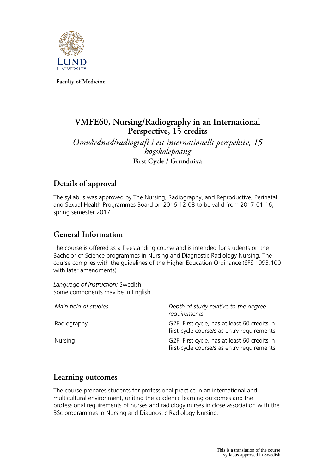

**Faculty of Medicine**

# **VMFE60, Nursing/Radiography in an International Perspective, 15 credits**

*Omvårdnad/radiografi i ett internationellt perspektiv, 15 högskolepoäng* **First Cycle / Grundnivå**

# **Details of approval**

The syllabus was approved by The Nursing, Radiography, and Reproductive, Perinatal and Sexual Health Programmes Board on 2016-12-08 to be valid from 2017-01-16, spring semester 2017.

# **General Information**

The course is offered as a freestanding course and is intended for students on the Bachelor of Science programmes in Nursing and Diagnostic Radiology Nursing. The course complies with the guidelines of the Higher Education Ordinance (SFS 1993:100 with later amendments).

*Language of instruction:* Swedish Some components may be in English.

| Main field of studies | Depth of study relative to the degree<br>requirements                                      |
|-----------------------|--------------------------------------------------------------------------------------------|
| Radiography           | G2F, First cycle, has at least 60 credits in<br>first-cycle course/s as entry requirements |
| Nursing               | G2F, First cycle, has at least 60 credits in<br>first-cycle course/s as entry requirements |

# **Learning outcomes**

The course prepares students for professional practice in an international and multicultural environment, uniting the academic learning outcomes and the professional requirements of nurses and radiology nurses in close association with the BSc programmes in Nursing and Diagnostic Radiology Nursing.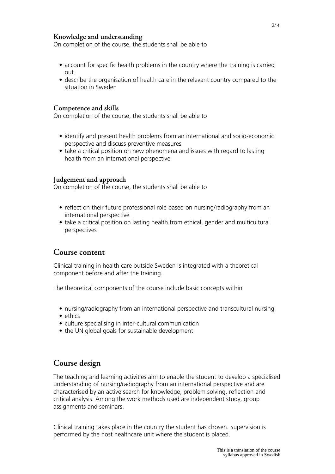#### **Knowledge and understanding**

On completion of the course, the students shall be able to

- account for specific health problems in the country where the training is carried out
- describe the organisation of health care in the relevant country compared to the situation in Sweden

#### **Competence and skills**

On completion of the course, the students shall be able to

- identify and present health problems from an international and socio-economic perspective and discuss preventive measures
- take a critical position on new phenomena and issues with regard to lasting health from an international perspective

#### **Judgement and approach**

On completion of the course, the students shall be able to

- reflect on their future professional role based on nursing/radiography from an international perspective
- take a critical position on lasting health from ethical, gender and multicultural perspectives

#### **Course content**

Clinical training in health care outside Sweden is integrated with a theoretical component before and after the training.

The theoretical components of the course include basic concepts within

- nursing/radiography from an international perspective and transcultural nursing
- ethics
- culture specialising in inter-cultural communication
- the UN global goals for sustainable development

### **Course design**

The teaching and learning activities aim to enable the student to develop a specialised understanding of nursing/radiography from an international perspective and are characterised by an active search for knowledge, problem solving, reflection and critical analysis. Among the work methods used are independent study, group assignments and seminars.

Clinical training takes place in the country the student has chosen. Supervision is performed by the host healthcare unit where the student is placed.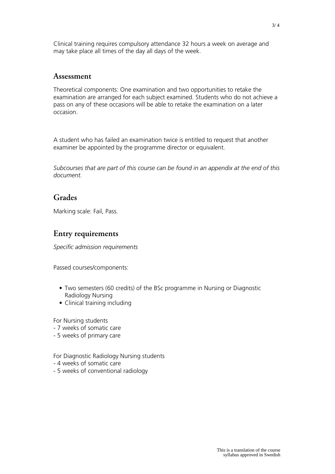Clinical training requires compulsory attendance 32 hours a week on average and may take place all times of the day all days of the week.

#### **Assessment**

Theoretical components: One examination and two opportunities to retake the examination are arranged for each subject examined. Students who do not achieve a pass on any of these occasions will be able to retake the examination on a later occasion.

A student who has failed an examination twice is entitled to request that another examiner be appointed by the programme director or equivalent.

*Subcourses that are part of this course can be found in an appendix at the end of this document.*

## **Grades**

Marking scale: Fail, Pass.

### **Entry requirements**

*Specific admission requirements*

Passed courses/components:

- Two semesters (60 credits) of the BSc programme in Nursing or Diagnostic Radiology Nursing
- Clinical training including

For Nursing students

- 7 weeks of somatic care
- 5 weeks of primary care
- For Diagnostic Radiology Nursing students
- 4 weeks of somatic care
- 5 weeks of conventional radiology